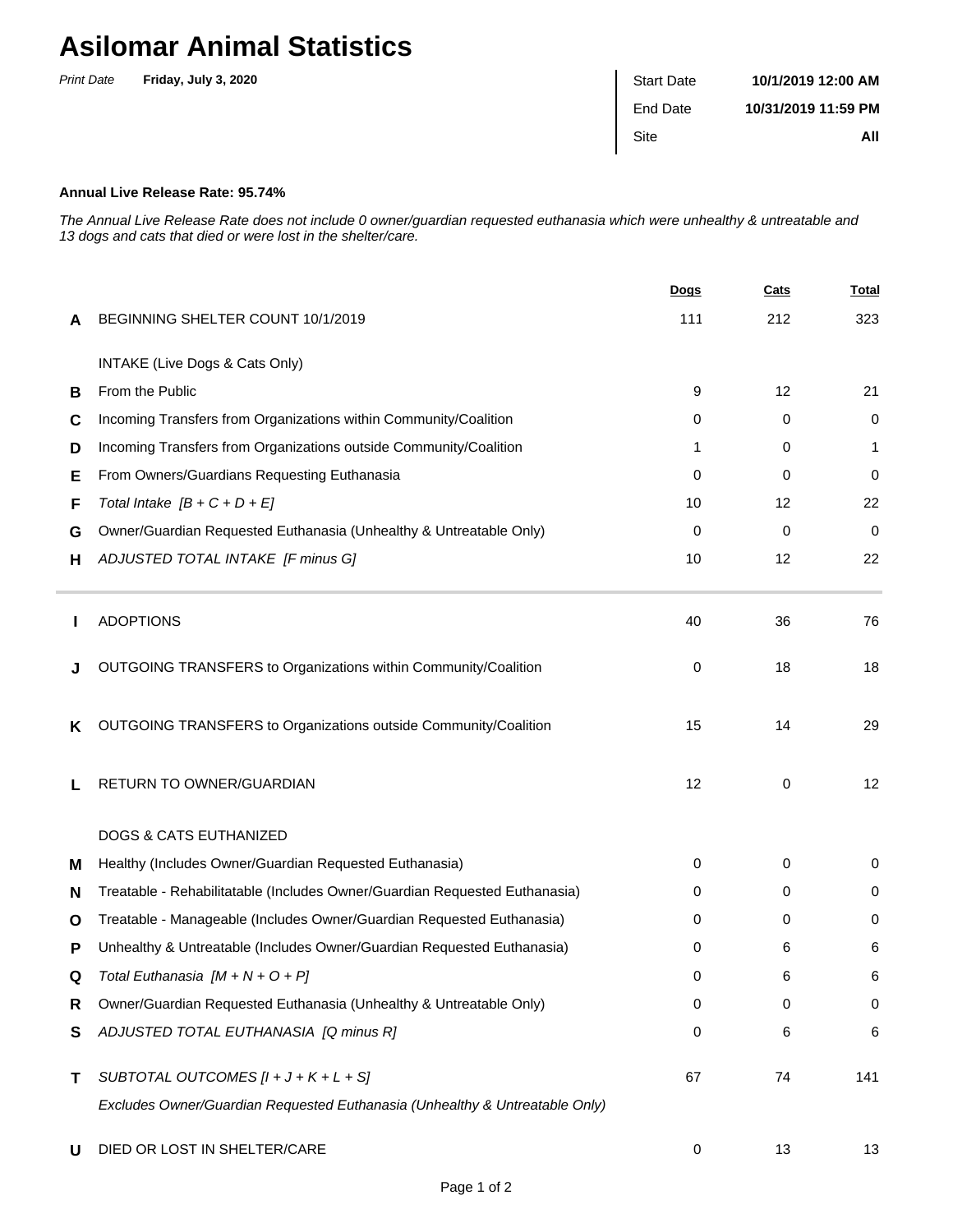## **Asilomar Animal Statistics**

| <b>Print Date</b> | Friday, July 3, 2020 | <b>Start Date</b> | 10/1/2019 12:00 AM  |
|-------------------|----------------------|-------------------|---------------------|
|                   |                      | End Date          | 10/31/2019 11:59 PM |
|                   |                      | Site              | All                 |
|                   |                      |                   |                     |

## **Annual Live Release Rate: 95.74%**

The Annual Live Release Rate does not include 0 owner/guardian requested euthanasia which were unhealthy & untreatable and 13 dogs and cats that died or were lost in the shelter/care.

|   |                                                                             | <u>Dogs</u> | <b>Cats</b> | <u>Total</u> |
|---|-----------------------------------------------------------------------------|-------------|-------------|--------------|
| A | BEGINNING SHELTER COUNT 10/1/2019                                           | 111         | 212         | 323          |
|   | INTAKE (Live Dogs & Cats Only)                                              |             |             |              |
| В | From the Public                                                             | 9           | 12          | 21           |
| С | Incoming Transfers from Organizations within Community/Coalition            | 0           | 0           | 0            |
| D | Incoming Transfers from Organizations outside Community/Coalition           | 1           | 0           | 1            |
| Е | From Owners/Guardians Requesting Euthanasia                                 | 0           | 0           | 0            |
| F | Total Intake $[B + C + D + E]$                                              | 10          | 12          | 22           |
| G | Owner/Guardian Requested Euthanasia (Unhealthy & Untreatable Only)          | 0           | 0           | 0            |
| н | ADJUSTED TOTAL INTAKE [F minus G]                                           | 10          | 12          | 22           |
|   | <b>ADOPTIONS</b>                                                            | 40          | 36          | 76           |
| J | OUTGOING TRANSFERS to Organizations within Community/Coalition              | 0           | 18          | 18           |
| Κ | OUTGOING TRANSFERS to Organizations outside Community/Coalition             | 15          | 14          | 29           |
|   | RETURN TO OWNER/GUARDIAN                                                    | 12          | 0           | 12           |
|   | <b>DOGS &amp; CATS EUTHANIZED</b>                                           |             |             |              |
| м | Healthy (Includes Owner/Guardian Requested Euthanasia)                      | 0           | 0           | 0            |
| N | Treatable - Rehabilitatable (Includes Owner/Guardian Requested Euthanasia)  | 0           | 0           | 0            |
| O | Treatable - Manageable (Includes Owner/Guardian Requested Euthanasia)       | 0           | 0           | 0            |
| P | Unhealthy & Untreatable (Includes Owner/Guardian Requested Euthanasia)      | 0           | 6           | 6            |
|   | Total Euthanasia $[M + N + O + P]$                                          | 0           | 6           | 6            |
| R | Owner/Guardian Requested Euthanasia (Unhealthy & Untreatable Only)          | 0           | 0           | 0            |
| S | ADJUSTED TOTAL EUTHANASIA [Q minus R]                                       | 0           | 6           | 6            |
| т | SUBTOTAL OUTCOMES $[l + J + K + L + S]$                                     | 67          | 74          | 141          |
|   | Excludes Owner/Guardian Requested Euthanasia (Unhealthy & Untreatable Only) |             |             |              |
| U | DIED OR LOST IN SHELTER/CARE                                                | 0           | 13          | 13           |